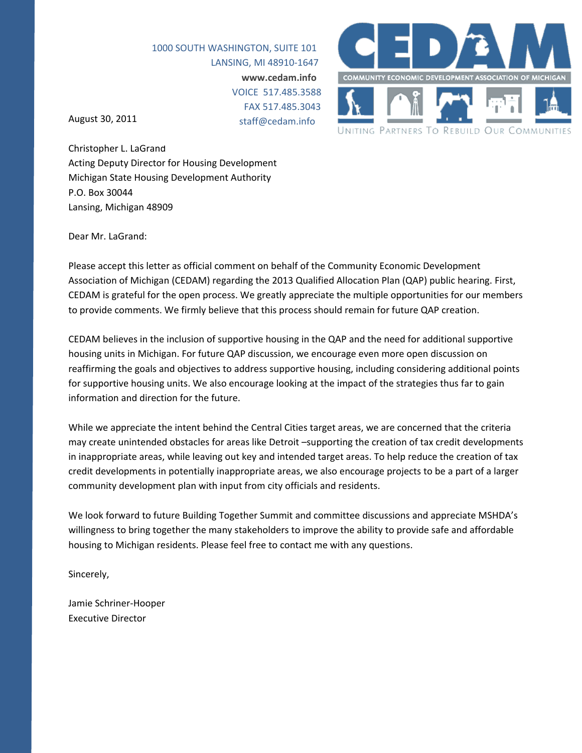1000 SOUTH WASHINGTON, SUITE 101 LANSING, MI 48910‐1647 **www.cedam.info** VOICE 517.485.3588 FAX 517.485.3043 staff@cedam.info

August 30, 2011



Christopher L. LaGrand Acting Deputy Director for Housing Development Michigan State Housing Development Authority P.O. Box 30044 Lansing, Michigan 48909

Dear Mr. LaGrand:

Please accept this letter as official comment on behalf of the Community Economic Development Association of Michigan (CEDAM) regarding the 2013 Qualified Allocation Plan (QAP) public hearing. First, CEDAM is grateful for the open process. We greatly appreciate the multiple opportunities for our members to provide comments. We firmly believe that this process should remain for future QAP creation.

CEDAM believes in the inclusion of supportive housing in the QAP and the need for additional supportive housing units in Michigan. For future QAP discussion, we encourage even more open discussion on reaffirming the goals and objectives to address supportive housing, including considering additional points for supportive housing units. We also encourage looking at the impact of the strategies thus far to gain information and direction for the future.

While we appreciate the intent behind the Central Cities target areas, we are concerned that the criteria may create unintended obstacles for areas like Detroit –supporting the creation of tax credit developments in inappropriate areas, while leaving out key and intended target areas. To help reduce the creation of tax credit developments in potentially inappropriate areas, we also encourage projects to be a part of a larger community development plan with input from city officials and residents.

We look forward to future Building Together Summit and committee discussions and appreciate MSHDA's willingness to bring together the many stakeholders to improve the ability to provide safe and affordable housing to Michigan residents. Please feel free to contact me with any questions.

Sincerely,

Jamie Schriner‐Hooper Executive Director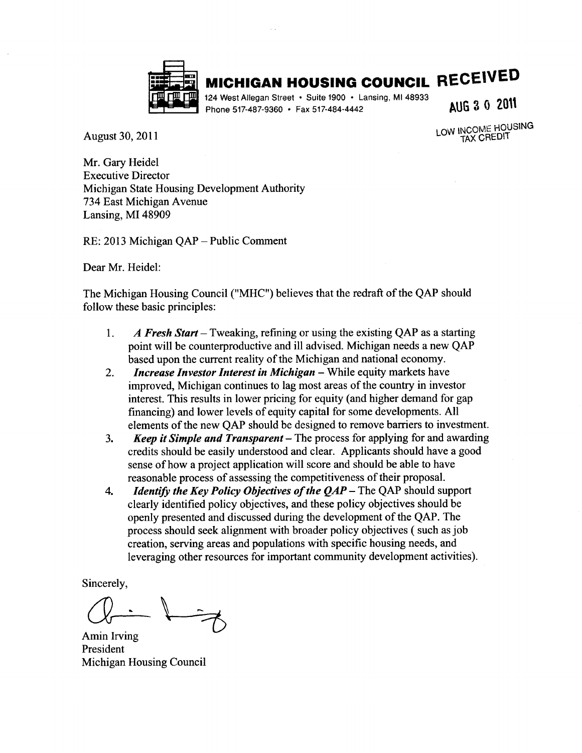

## **MICHIGAN HOUSING COUNCIL RECEIVED**

124 West Allegan Street • Suite 1900 • Lansing, MI 48933 Phone 517-487-9360 • Fax 517-484-4442

AUG 3 0 2011

August 30, 2011

LOW INCOME HOUSING **TAX CREDIT** 

Mr. Gary Heidel **Executive Director** Michigan State Housing Development Authority 734 East Michigan Avenue Lansing, MI 48909

RE: 2013 Michigan QAP - Public Comment

Dear Mr. Heidel:

The Michigan Housing Council ("MHC") believes that the redraft of the QAP should follow these basic principles:

- A Fresh Start Tweaking, refining or using the existing QAP as a starting 1. point will be counterproductive and ill advised. Michigan needs a new QAP based upon the current reality of the Michigan and national economy.
- **Increase Investor Interest in Michigan While equity markets have**  $2.$ improved, Michigan continues to lag most areas of the country in investor interest. This results in lower pricing for equity (and higher demand for gap financing) and lower levels of equity capital for some developments. All elements of the new OAP should be designed to remove barriers to investment.
- **Keep it Simple and Transparent** The process for applying for and awarding 3. credits should be easily understood and clear. Applicants should have a good sense of how a project application will score and should be able to have reasonable process of assessing the competitiveness of their proposal.
- *Identify the Key Policy Objectives of the*  $QAP$  *The QAP should support* 4. clearly identified policy objectives, and these policy objectives should be openly presented and discussed during the development of the QAP. The process should seek alignment with broader policy objectives (such as job creation, serving areas and populations with specific housing needs, and leveraging other resources for important community development activities).

Sincerely,

Amin Irving President **Michigan Housing Council**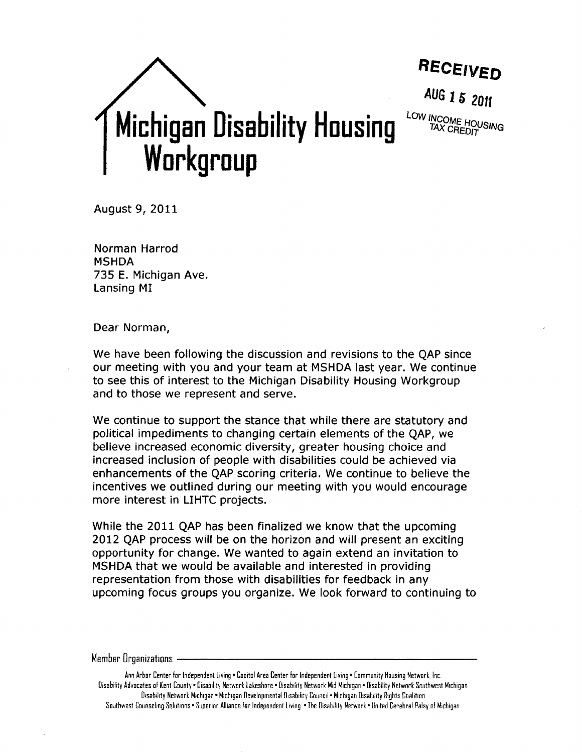

August 9, 2011

Norman Harrod **MSHDA** 735 E. Michigan Ave. Lansing MI

Dear Norman,

We have been following the discussion and revisions to the OAP since our meeting with you and your team at MSHDA last year. We continue to see this of interest to the Michigan Disability Housing Workgroup and to those we represent and serve.

We continue to support the stance that while there are statutory and political impediments to changing certain elements of the QAP, we believe increased economic diversity, greater housing choice and increased inclusion of people with disabilities could be achieved via enhancements of the QAP scoring criteria. We continue to believe the incentives we outlined during our meeting with you would encourage more interest in LIHTC projects.

While the 2011 QAP has been finalized we know that the upcoming 2012 OAP process will be on the horizon and will present an exciting opportunity for change. We wanted to again extend an invitation to MSHDA that we would be available and interested in providing representation from those with disabilities for feedback in any upcoming focus groups you organize. We look forward to continuing to

#### Member Organizations

Ann Arbor Center for Independent Living . Capitol Area Center for Independent Living . Community Housing Network, Inc. Disability Advocates of Kent County = Disability Network Lakeshore = Disability Network Mid Michigan = Disability Network Southwest Michigan Disability Network Michigan . Michigan Developmental Disability Council . Michigan Disability Rights Coalition Southwest Counseling Solutions . Superior Alliance for Independent Living . The Disability Network . United Cerebral Palsy of Michigan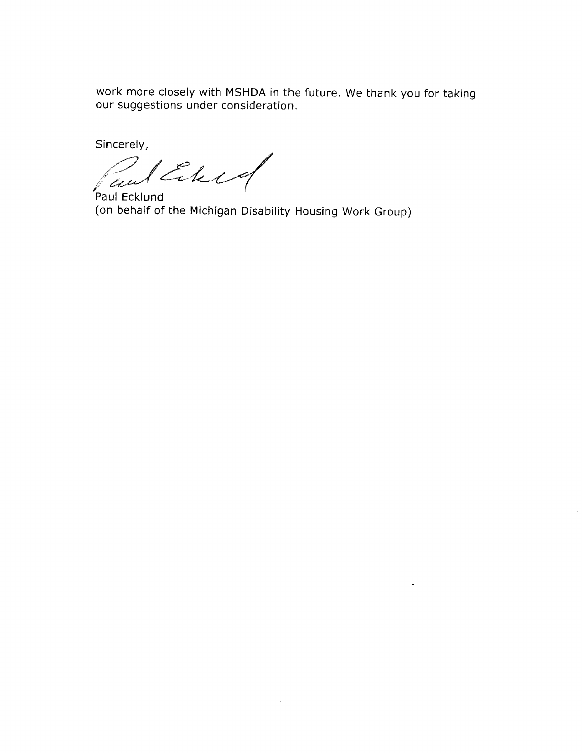work more closely with MSHDA in the future. We thank you for taking our suggestions under consideration.

Sincerely,

Riberg an

Paul Ecklund (on behalf of the Michigan Disability Housing Work Group)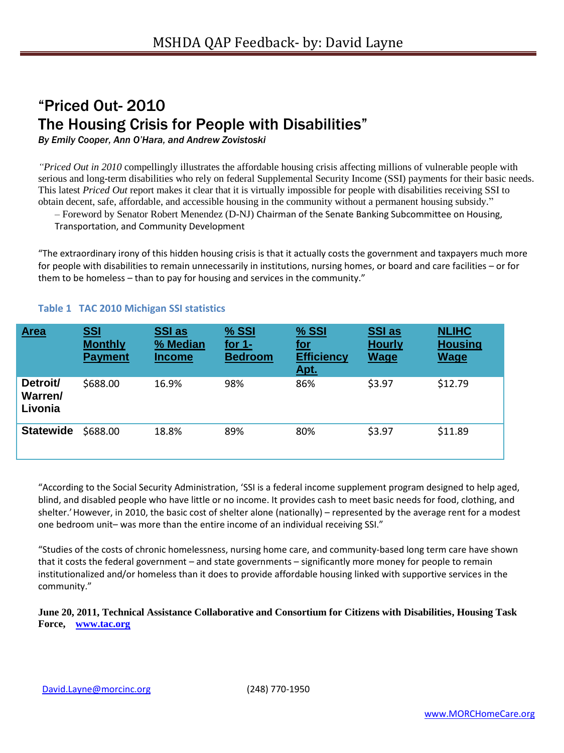## "Priced Out- 2010 The Housing Crisis for People with Disabilities"

*By Emily Cooper, Ann O'Hara, and Andrew Zovistoski*

*"Priced Out in 2010* compellingly illustrates the affordable housing crisis affecting millions of vulnerable people with serious and long-term disabilities who rely on federal Supplemental Security Income (SSI) payments for their basic needs. This latest *Priced Out* report makes it clear that it is virtually impossible for people with disabilities receiving SSI to obtain decent, safe, affordable, and accessible housing in the community without a permanent housing subsidy."

– Foreword by Senator Robert Menendez (D-NJ) Chairman of the Senate Banking Subcommittee on Housing,

Transportation, and Community Development

"The extraordinary irony of this hidden housing crisis is that it actually costs the government and taxpayers much more for people with disabilities to remain unnecessarily in institutions, nursing homes, or board and care facilities – or for them to be homeless – than to pay for housing and services in the community."

| <b>Area</b>                    | <u>SSI</u><br><b>Monthly</b><br><b>Payment</b> | <b>SSI</b> as<br>% Median<br><b>Income</b> | % SSI<br>for $1-$<br><b>Bedroom</b> | % SSI<br><u>for</u><br><b>Efficiency</b><br><u>Apt.</u> | <b>SSI</b> as<br><b>Hourly</b><br><b>Wage</b> | <b>NLIHC</b><br><b>Housing</b><br><b>Wage</b> |
|--------------------------------|------------------------------------------------|--------------------------------------------|-------------------------------------|---------------------------------------------------------|-----------------------------------------------|-----------------------------------------------|
| Detroit/<br>Warren/<br>Livonia | \$688.00                                       | 16.9%                                      | 98%                                 | 86%                                                     | \$3.97                                        | \$12.79                                       |
| <b>Statewide</b>               | \$688.00                                       | 18.8%                                      | 89%                                 | 80%                                                     | \$3.97                                        | \$11.89                                       |

#### **Table 1 TAC 2010 Michigan SSI statistics**

"According to the Social Security Administration, 'SSI is a federal income supplement program designed to help aged, blind, and disabled people who have little or no income. It provides cash to meet basic needs for food, clothing, and shelter.' However, in 2010, the basic cost of shelter alone (nationally) – represented by the average rent for a modest one bedroom unit– was more than the entire income of an individual receiving SSI."

"Studies of the costs of chronic homelessness, nursing home care, and community-based long term care have shown that it costs the federal government – and state governments – significantly more money for people to remain institutionalized and/or homeless than it does to provide affordable housing linked with supportive services in the community."

**June 20, 2011, Technical Assistance Collaborative and Consortium for Citizens with Disabilities, Housing Task Force, [www.tac.org](http://www.tac.org/)**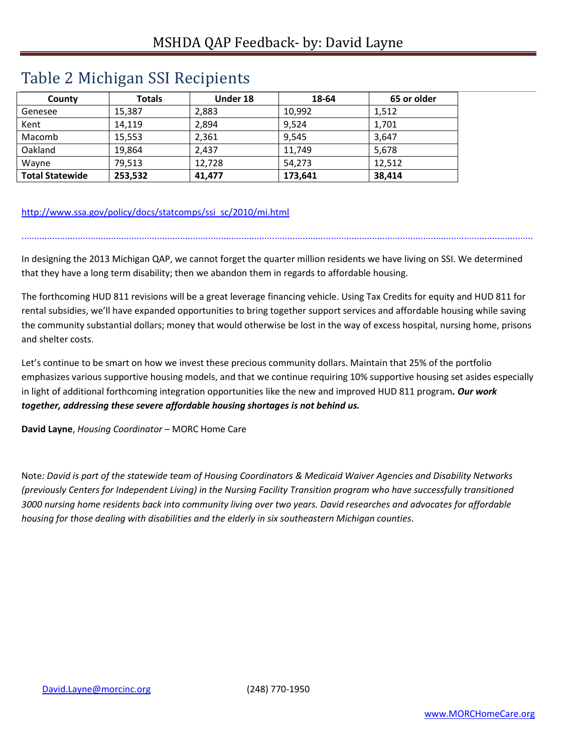## Table 2 Michigan SSI Recipients

| County                 | <b>Totals</b> | Under 18 | 18-64   | 65 or older |
|------------------------|---------------|----------|---------|-------------|
| Genesee                | 15,387        | 2,883    | 10.992  | 1,512       |
| Kent                   | 14,119        | 2,894    | 9,524   | 1,701       |
| Macomb                 | 15,553        | 2,361    | 9,545   | 3,647       |
| Oakland                | 19,864        | 2,437    | 11,749  | 5,678       |
| Wayne                  | 79,513        | 12,728   | 54,273  | 12,512      |
| <b>Total Statewide</b> | 253,532       | 41,477   | 173,641 | 38,414      |

### [http://www.ssa.gov/policy/docs/statcomps/ssi\\_sc/2010/mi.html](http://www.ssa.gov/policy/docs/statcomps/ssi_sc/2010/mi.html)

In designing the 2013 Michigan QAP, we cannot forget the quarter million residents we have living on SSI. We determined that they have a long term disability; then we abandon them in regards to affordable housing.

........................................................................................................................................................................................................

The forthcoming HUD 811 revisions will be a great leverage financing vehicle. Using Tax Credits for equity and HUD 811 for rental subsidies, we'll have expanded opportunities to bring together support services and affordable housing while saving the community substantial dollars; money that would otherwise be lost in the way of excess hospital, nursing home, prisons and shelter costs.

Let's continue to be smart on how we invest these precious community dollars. Maintain that 25% of the portfolio emphasizes various supportive housing models, and that we continue requiring 10% supportive housing set asides especially in light of additional forthcoming integration opportunities like the new and improved HUD 811 program*. Our work together, addressing these severe affordable housing shortages is not behind us.*

**David Layne**, *Housing Coordinator* – MORC Home Care

Note*: David is part of the statewide team of Housing Coordinators & Medicaid Waiver Agencies and Disability Networks (previously Centers for Independent Living) in the Nursing Facility Transition program who have successfully transitioned 3000 nursing home residents back into community living over two years. David researches and advocates for affordable housing for those dealing with disabilities and the elderly in six southeastern Michigan counties*.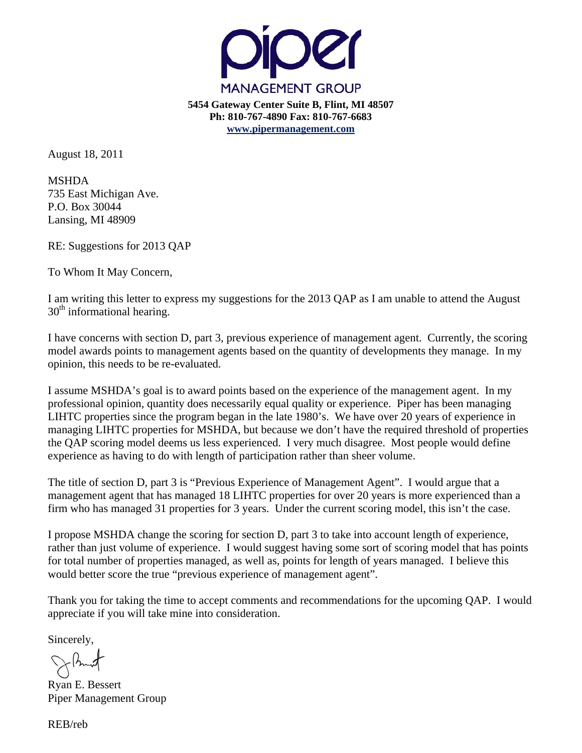

August 18, 2011

MSHDA 735 East Michigan Ave. P.O. Box 30044 Lansing, MI 48909

RE: Suggestions for 2013 QAP

To Whom It May Concern,

I am writing this letter to express my suggestions for the 2013 QAP as I am unable to attend the August  $30<sup>th</sup>$  informational hearing.

I have concerns with section D, part 3, previous experience of management agent. Currently, the scoring model awards points to management agents based on the quantity of developments they manage. In my opinion, this needs to be re-evaluated.

I assume MSHDA's goal is to award points based on the experience of the management agent. In my professional opinion, quantity does necessarily equal quality or experience. Piper has been managing LIHTC properties since the program began in the late 1980's. We have over 20 years of experience in managing LIHTC properties for MSHDA, but because we don't have the required threshold of properties the QAP scoring model deems us less experienced. I very much disagree. Most people would define experience as having to do with length of participation rather than sheer volume.

The title of section D, part 3 is "Previous Experience of Management Agent". I would argue that a management agent that has managed 18 LIHTC properties for over 20 years is more experienced than a firm who has managed 31 properties for 3 years. Under the current scoring model, this isn't the case.

I propose MSHDA change the scoring for section D, part 3 to take into account length of experience, rather than just volume of experience. I would suggest having some sort of scoring model that has points for total number of properties managed, as well as, points for length of years managed. I believe this would better score the true "previous experience of management agent".

Thank you for taking the time to accept comments and recommendations for the upcoming QAP. I would appreciate if you will take mine into consideration.

Sincerely,

Ryan E. Bessert Piper Management Group

REB/reb